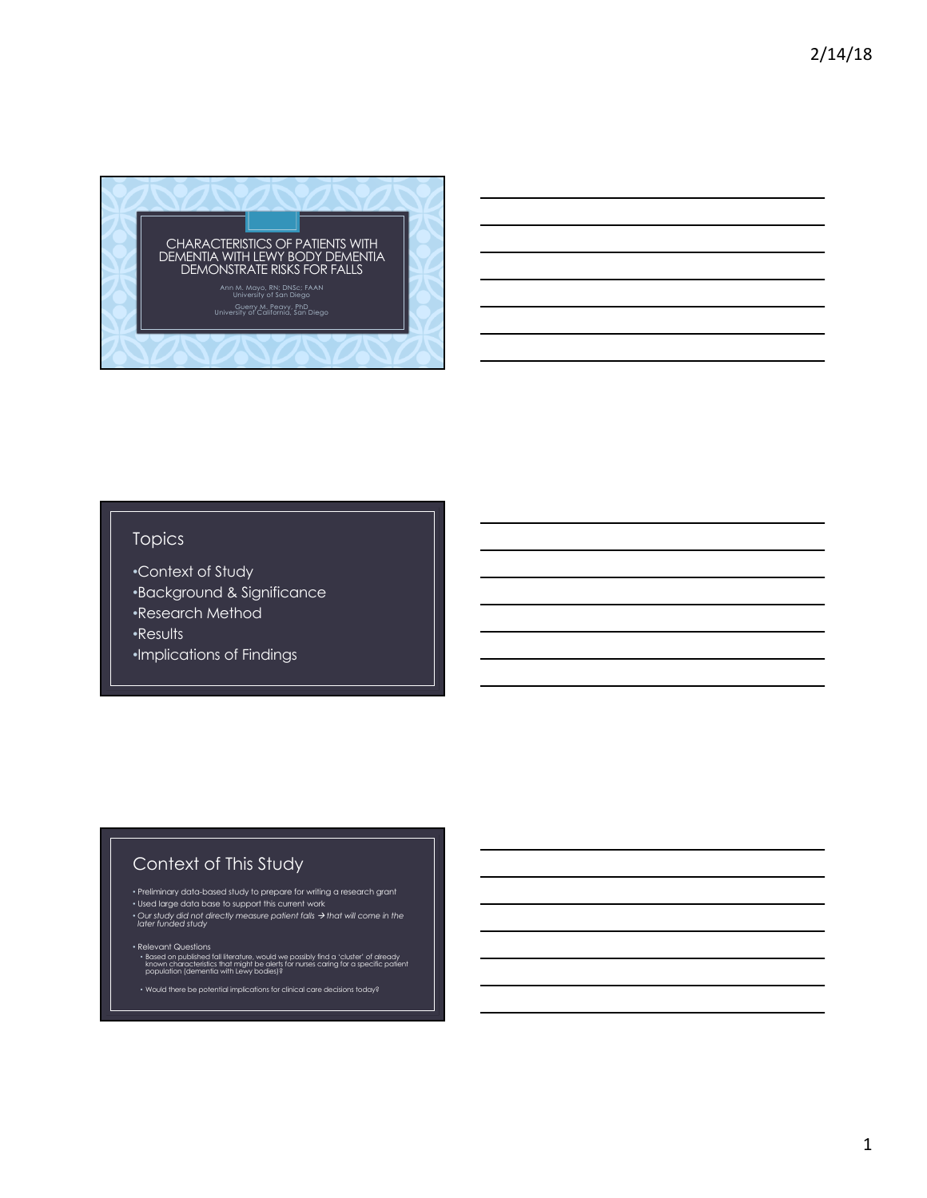

## Topics

- •Context of Study
- •Background & Significance
- •Research Method

•Results

•Implications of Findings

## Context of This Study

- 
- 
- Preliminary data-based study to prepare for writing a research grant<br>• Used large data base to support this current work<br>• Our study did not directly measure patient falls → that will come in the<br>• later funded study
- Relevant Questions<br>• Based on published fall literature, would we possibly find a 'cluster' of already<br>• known characteristics that might be alerts for nurses caring for a specific patient<br>• population (dementia with Lew
- Would there be potential implications for clinical care decisions today?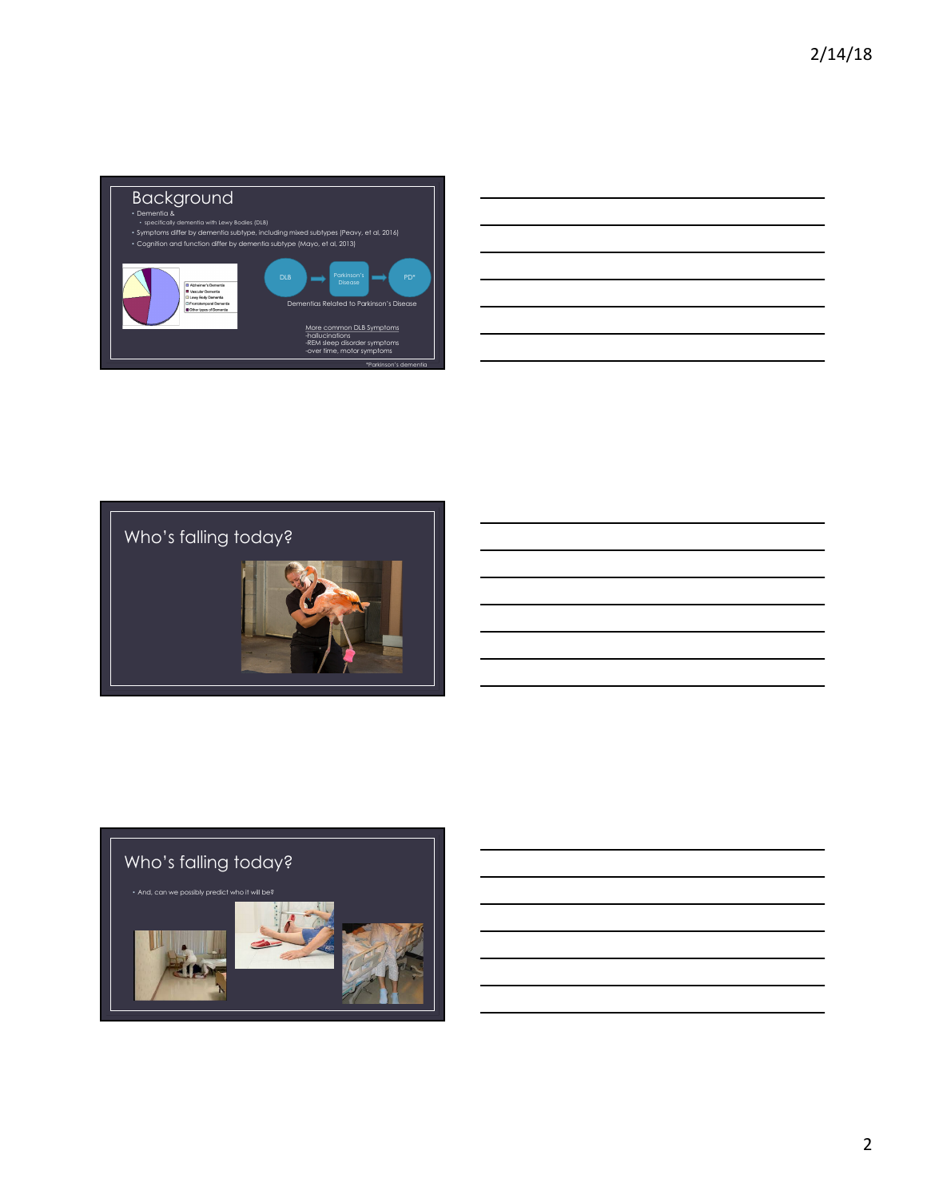

|                                                    |  | <u> 1989 - Andrea Santa Andrea Andrea Andrea Andrea Andrea Andrea Andrea Andrea Andrea Andrea Andrea Andrea Andr</u> |
|----------------------------------------------------|--|----------------------------------------------------------------------------------------------------------------------|
|                                                    |  | <u> 1989 - Johann Barnett, fransk politiker (d. 1989)</u>                                                            |
| <u> 1980 - Johann Barn, amerikansk politiker (</u> |  | $\overline{\phantom{a}}$                                                                                             |
|                                                    |  | ,我们也不会有什么。""我们的人,我们也不会有什么?""我们的人,我们也不会有什么?""我们的人,我们也不会有什么?""我们的人,我们也不会有什么?""我们的人                                     |
|                                                    |  | <u> 1989 - Johann Stoff, amerikansk politiker (d. 1989)</u>                                                          |
|                                                    |  |                                                                                                                      |





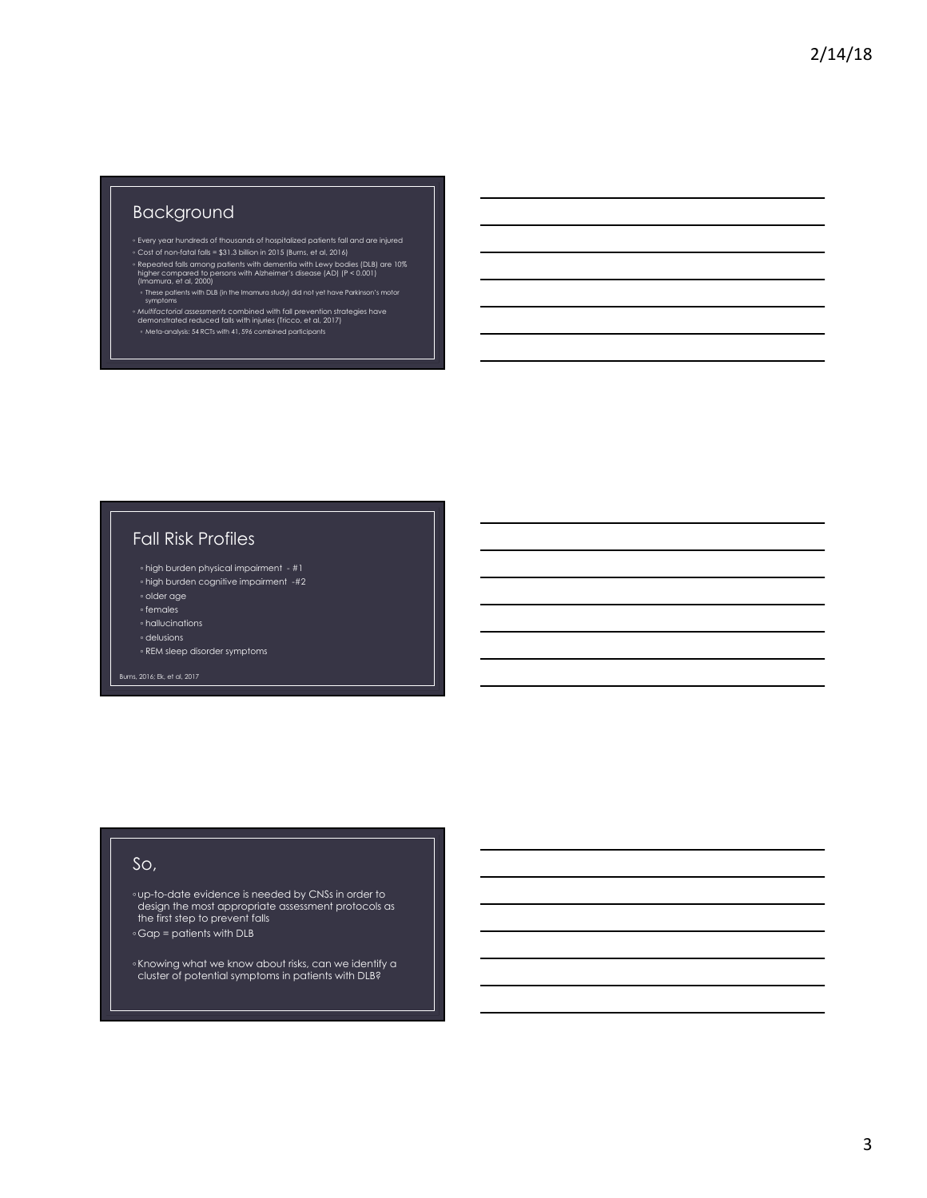## Background

- 
- e Every year hundreds of thousands of hospitalized patients fall and are injured<br>e Cost of non-fatal falls = \$31.3 billion in 2015 (Burns, et al., 2016)<br>Repeated falls among patients with dementia with Lewy bodies (DLB) ar
- ∘ These patients with DLB (in the Imamura study) did not yet have Parkinson's motor<br>symptoms
- ∘ *Multifactorial assessments* combined with fall prevention strategies have<br>demonstrated reduced falls with injuries (Tricco, et al, 2017)<br>∘ Meta-analysis: 54 RCTs with 41, 596 combined participants

## Fall Risk Profiles

- high burden physical impairment #1
- high burden cognitive impairment -#2 ◦ older age
- females
- hallucinations
- delusions
- REM sleep disorder symptoms
- 

## So,

∘up-to-date evidence is needed by CNSs in order to<br>design the most appropriate assessment protocols as the first step to prevent falls ◦ Gap = patients with DLB

- 
- ∘Knowing what we know about risks, can we identify a<br>cluster of potential symptoms in patients with DLB?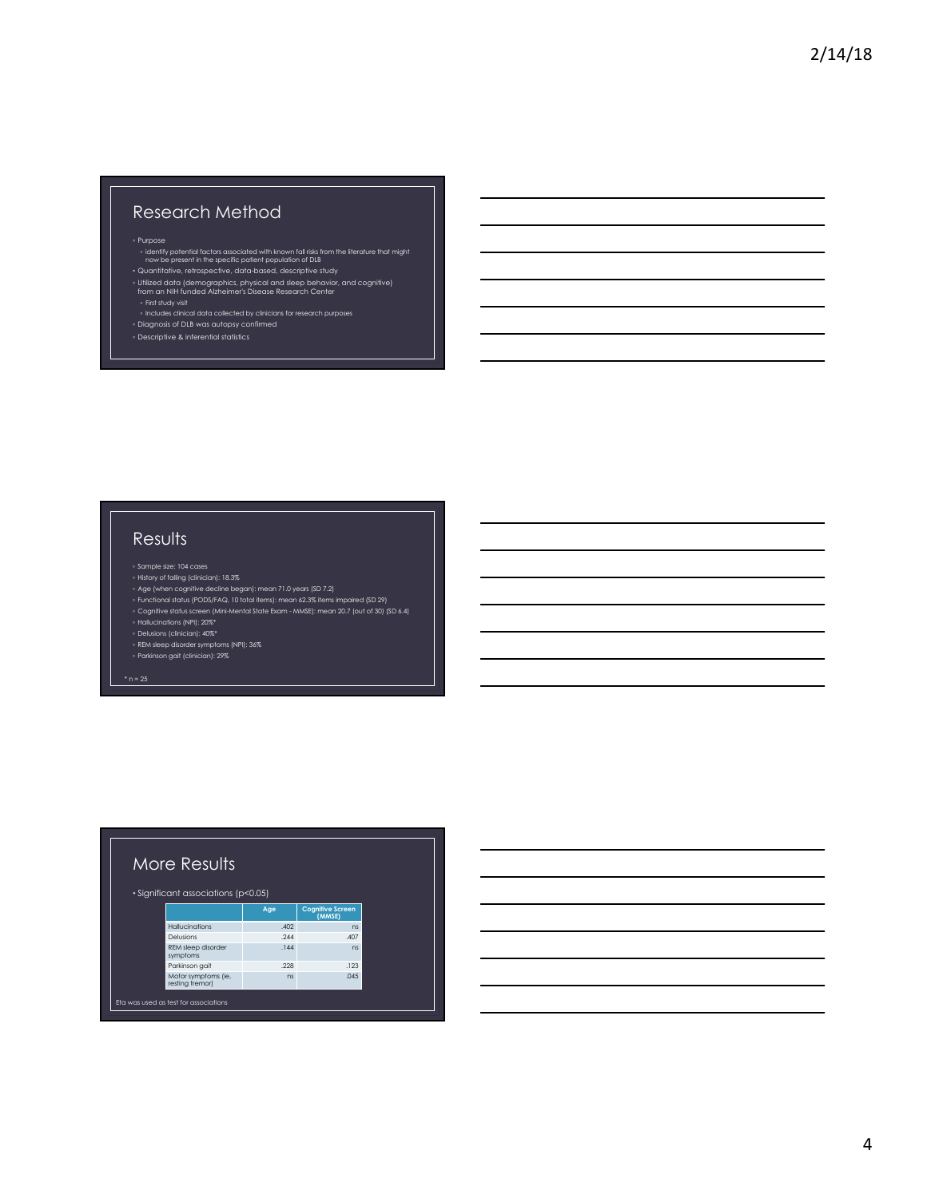# Research Method

- ∘ Purpose<br>• identify potential factors associated with known fall risks from the literature that might<br>• Quantitative, retrospective, data-based, descriptive study<br>• Quantitative, retrospective, data-based, descriptive st
- 
- Utilized data (demographics, physical and sleep behavior, and cognitive) from an NIH funded Alzheimer's Disease Research Center
- 
- Includes clinical data collected by clinicians for research purposes
- Diagnosis of DLB was autopsy confirmed<br>◦ Descriptive & inferential statistics

# **Results**

- 
- 
- ° History of falling (clinician): 18.3%<br>° Age (when cognitiive decline began): mean 71.0 years (SD 7.2)<br>° Functional status (PODS/FAQ, 10 total items): mean 62.3% items impaired (SD 29)<br>° Cognitive status screen (Mini-Men

- 
- Delusions (clinician): 40%\*<br>◦ REM sleep disorder symptoms (NPI): 36%<br>◦ Parkinson gait (clinician): 29%

| More Results<br>· Significant associations (p<0.05) |                                        |      |                                   |  |  |
|-----------------------------------------------------|----------------------------------------|------|-----------------------------------|--|--|
|                                                     |                                        | Age  | <b>Cognitive Screen</b><br>(MMSE) |  |  |
|                                                     | <b>Hallucinations</b>                  | .402 | ns                                |  |  |
|                                                     | Delusions                              | .244 | .407                              |  |  |
|                                                     | REM sleep disorder<br>symptoms         | .144 | ns                                |  |  |
|                                                     | Parkinson gait                         | 228  | .123                              |  |  |
|                                                     | Motor symptoms (ie,<br>resting tremor) | ns   | .045                              |  |  |
|                                                     | Eta was used as test for associations  |      |                                   |  |  |